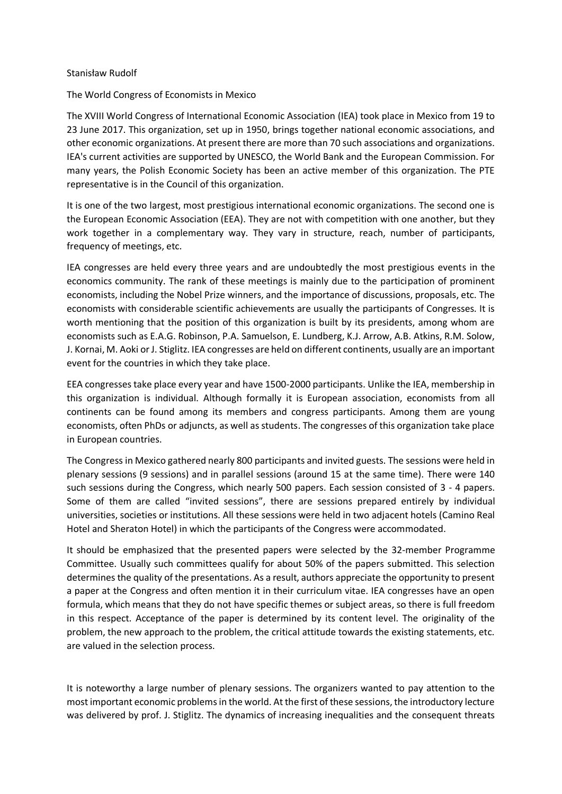## Stanisław Rudolf

## The World Congress of Economists in Mexico

The XVIII World Congress of International Economic Association (IEA) took place in Mexico from 19 to 23 June 2017. This organization, set up in 1950, brings together national economic associations, and other economic organizations. At present there are more than 70 such associations and organizations. IEA's current activities are supported by UNESCO, the World Bank and the European Commission. For many years, the Polish Economic Society has been an active member of this organization. The PTE representative is in the Council of this organization.

It is one of the two largest, most prestigious international economic organizations. The second one is the European Economic Association (EEA). They are not with competition with one another, but they work together in a complementary way. They vary in structure, reach, number of participants, frequency of meetings, etc.

IEA congresses are held every three years and are undoubtedly the most prestigious events in the economics community. The rank of these meetings is mainly due to the participation of prominent economists, including the Nobel Prize winners, and the importance of discussions, proposals, etc. The economists with considerable scientific achievements are usually the participants of Congresses. It is worth mentioning that the position of this organization is built by its presidents, among whom are economists such as E.A.G. Robinson, P.A. Samuelson, E. Lundberg, K.J. Arrow, A.B. Atkins, R.M. Solow, J. Kornai, M. Aoki or J. Stiglitz. IEA congresses are held on different continents, usually are an important event for the countries in which they take place.

EEA congresses take place every year and have 1500-2000 participants. Unlike the IEA, membership in this organization is individual. Although formally it is European association, economists from all continents can be found among its members and congress participants. Among them are young economists, often PhDs or adjuncts, as well as students. The congresses of this organization take place in European countries.

The Congress in Mexico gathered nearly 800 participants and invited guests. The sessions were held in plenary sessions (9 sessions) and in parallel sessions (around 15 at the same time). There were 140 such sessions during the Congress, which nearly 500 papers. Each session consisted of 3 - 4 papers. Some of them are called "invited sessions", there are sessions prepared entirely by individual universities, societies or institutions. All these sessions were held in two adjacent hotels (Camino Real Hotel and Sheraton Hotel) in which the participants of the Congress were accommodated.

It should be emphasized that the presented papers were selected by the 32-member Programme Committee. Usually such committees qualify for about 50% of the papers submitted. This selection determines the quality of the presentations. As a result, authors appreciate the opportunity to present a paper at the Congress and often mention it in their curriculum vitae. IEA congresses have an open formula, which means that they do not have specific themes or subject areas, so there is full freedom in this respect. Acceptance of the paper is determined by its content level. The originality of the problem, the new approach to the problem, the critical attitude towards the existing statements, etc. are valued in the selection process.

It is noteworthy a large number of plenary sessions. The organizers wanted to pay attention to the most important economic problems in the world. At the first of these sessions, the introductory lecture was delivered by prof. J. Stiglitz. The dynamics of increasing inequalities and the consequent threats